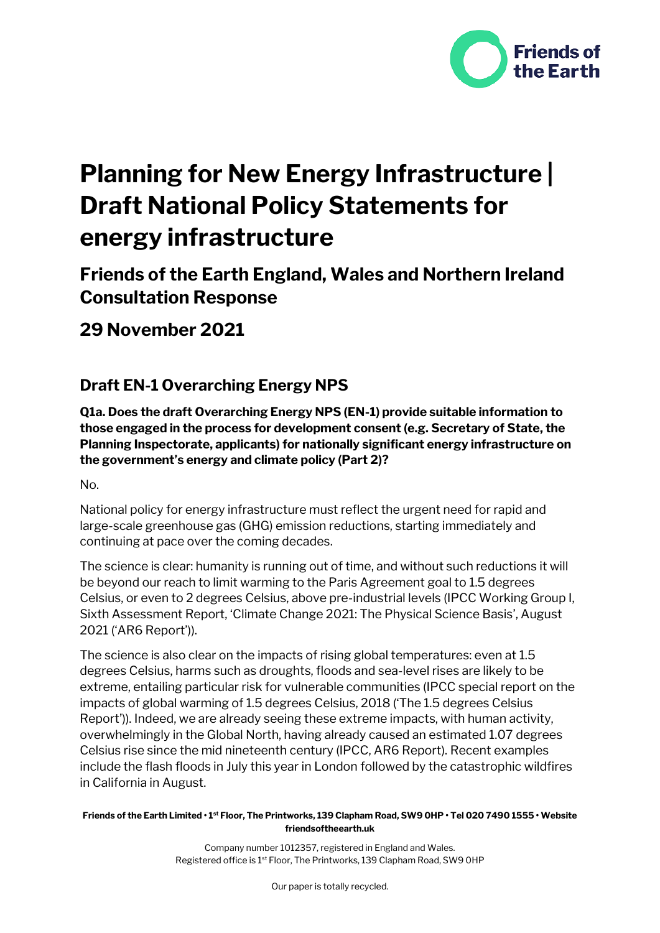

# **Planning for New Energy Infrastructure | Draft National Policy Statements for energy infrastructure**

# **Friends of the Earth England, Wales and Northern Ireland Consultation Response**

**29 November 2021**

## **Draft EN-1 Overarching Energy NPS**

**Q1a. Does the draft Overarching Energy NPS (EN-1) provide suitable information to those engaged in the process for development consent (e.g. Secretary of State, the Planning Inspectorate, applicants) for nationally significant energy infrastructure on the government's energy and climate policy (Part 2)?**

No.

National policy for energy infrastructure must reflect the urgent need for rapid and large-scale greenhouse gas (GHG) emission reductions, starting immediately and continuing at pace over the coming decades.

The science is clear: humanity is running out of time, and without such reductions it will be beyond our reach to limit warming to the Paris Agreement goal to 1.5 degrees Celsius, or even to 2 degrees Celsius, above pre-industrial levels (IPCC Working Group I, Sixth Assessment Report, 'Climate Change 2021: The Physical Science Basis', August 2021 ('AR6 Report')).

The science is also clear on the impacts of rising global temperatures: even at 1.5 degrees Celsius, harms such as droughts, floods and sea-level rises are likely to be extreme, entailing particular risk for vulnerable communities (IPCC special report on the impacts of global warming of 1.5 degrees Celsius, 2018 ('The 1.5 degrees Celsius Report')). Indeed, we are already seeing these extreme impacts, with human activity, overwhelmingly in the Global North, having already caused an estimated 1.07 degrees Celsius rise since the mid nineteenth century (IPCC, AR6 Report). Recent examples include the flash floods in July this year in London followed by the catastrophic wildfires in California in August.

**Friends of the Earth Limited • 1st Floor, The Printworks, 139 Clapham Road, SW9 0HP • Tel 020 7490 1555 • Website friendsoftheearth.uk**

> Company number 1012357, registered in England and Wales. Registered office is 1<sup>st</sup> Floor, The Printworks, 139 Clapham Road, SW9 OHP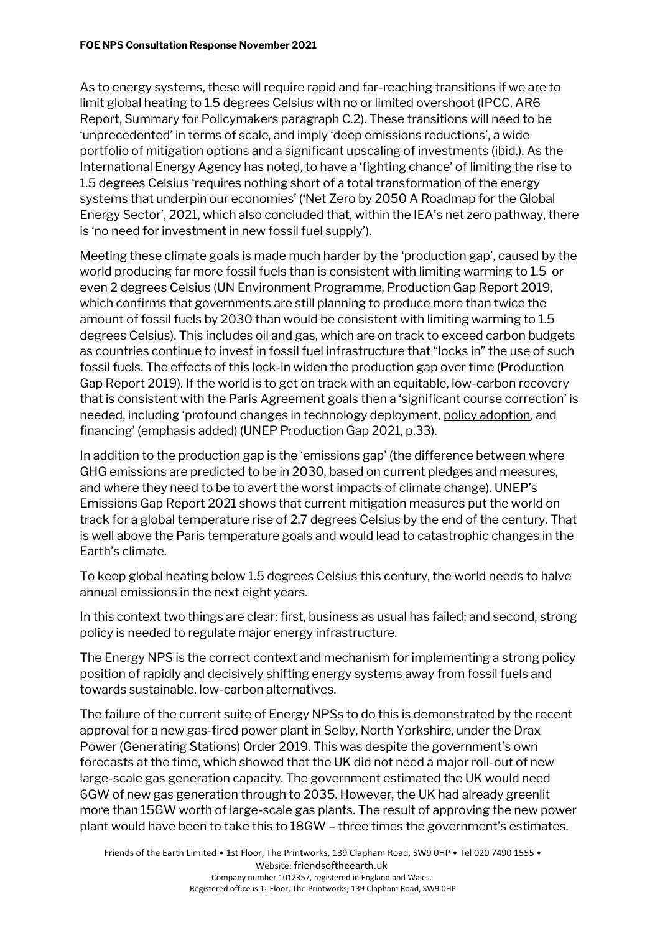As to energy systems, these will require rapid and far-reaching transitions if we are to limit global heating to 1.5 degrees Celsius with no or limited overshoot (IPCC, AR6 Report, Summary for Policymakers paragraph C.2). These transitions will need to be 'unprecedented' in terms of scale, and imply 'deep emissions reductions', a wide portfolio of mitigation options and a significant upscaling of investments (ibid.). As the International Energy Agency has noted, to have a 'fighting chance' of limiting the rise to 1.5 degrees Celsius 'requires nothing short of a total transformation of the energy systems that underpin our economies' ('Net Zero by 2050 A Roadmap for the Global Energy Sector', 2021, which also concluded that, within the IEA's net zero pathway, there is 'no need for investment in new fossil fuel supply').

Meeting these climate goals is made much harder by the 'production gap', caused by the world producing far more fossil fuels than is consistent with limiting warming to 1.5 or even 2 degrees Celsius (UN Environment Programme, Production Gap Report 2019, which confirms that governments are still planning to produce more than twice the amount of fossil fuels by 2030 than would be consistent with limiting warming to 1.5 degrees Celsius). This includes oil and gas, which are on track to exceed carbon budgets as countries continue to invest in fossil fuel infrastructure that "locks in" the use of such fossil fuels. The effects of this lock-in widen the production gap over time (Production Gap Report 2019). If the world is to get on track with an equitable, low-carbon recovery that is consistent with the Paris Agreement goals then a 'significant course correction' is needed, including 'profound changes in technology deployment, policy adoption, and financing' (emphasis added) (UNEP Production Gap 2021, p.33).

In addition to the production gap is the 'emissions gap' (the difference between where GHG emissions are predicted to be in 2030, based on current pledges and measures, and where they need to be to avert the worst impacts of climate change). UNEP's Emissions Gap Report 2021 shows that current mitigation measures put the world on track for a global temperature rise of 2.7 degrees Celsius by the end of the century. That is well above the Paris temperature goals and would lead to catastrophic changes in the Earth's climate.

To keep global heating below 1.5 degrees Celsius this century, the world needs to halve annual emissions in the next eight years.

In this context two things are clear: first, business as usual has failed; and second, strong policy is needed to regulate major energy infrastructure.

The Energy NPS is the correct context and mechanism for implementing a strong policy position of rapidly and decisively shifting energy systems away from fossil fuels and towards sustainable, low-carbon alternatives.

The failure of the current suite of Energy NPSs to do this is demonstrated by the recent approval for a new gas-fired power plant in Selby, North Yorkshire, under the Drax Power (Generating Stations) Order 2019. This was despite the government's own forecasts at the time, which showed that the UK did not need a major roll-out of new large-scale gas generation capacity. The government estimated the UK would need 6GW of new gas generation through to 2035. However, the UK had already greenlit more than 15GW worth of large-scale gas plants. The result of approving the new power plant would have been to take this to 18GW – three times the government's estimates.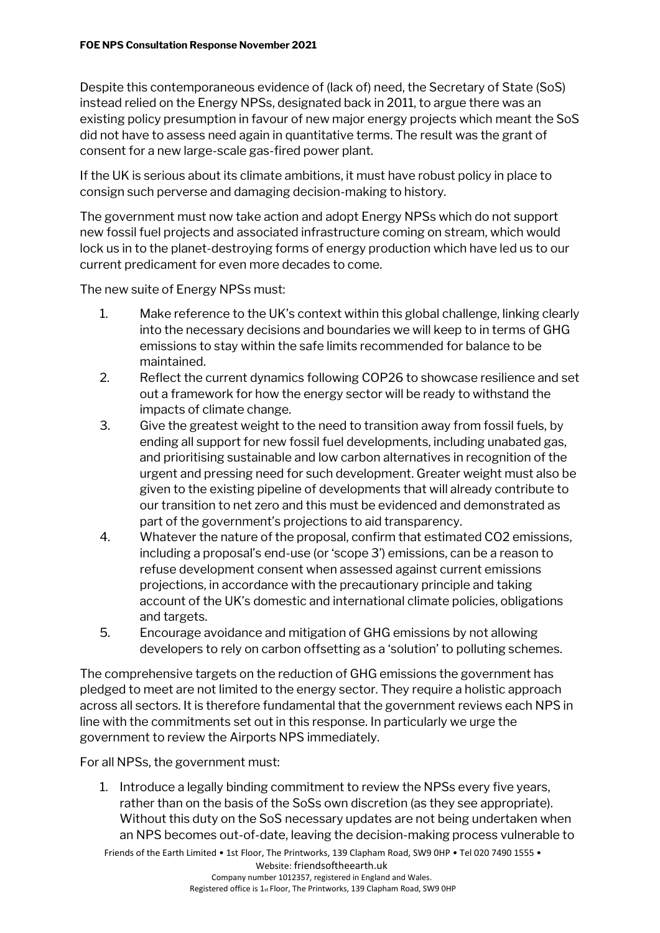Despite this contemporaneous evidence of (lack of) need, the Secretary of State (SoS) instead relied on the Energy NPSs, designated back in 2011, to argue there was an existing policy presumption in favour of new major energy projects which meant the SoS did not have to assess need again in quantitative terms. The result was the grant of consent for a new large-scale gas-fired power plant.

If the UK is serious about its climate ambitions, it must have robust policy in place to consign such perverse and damaging decision-making to history.

The government must now take action and adopt Energy NPSs which do not support new fossil fuel projects and associated infrastructure coming on stream, which would lock us in to the planet-destroying forms of energy production which have led us to our current predicament for even more decades to come.

The new suite of Energy NPSs must:

- 1. Make reference to the UK's context within this global challenge, linking clearly into the necessary decisions and boundaries we will keep to in terms of GHG emissions to stay within the safe limits recommended for balance to be maintained.
- 2. Reflect the current dynamics following COP26 to showcase resilience and set out a framework for how the energy sector will be ready to withstand the impacts of climate change.
- 3. Give the greatest weight to the need to transition away from fossil fuels, by ending all support for new fossil fuel developments, including unabated gas, and prioritising sustainable and low carbon alternatives in recognition of the urgent and pressing need for such development. Greater weight must also be given to the existing pipeline of developments that will already contribute to our transition to net zero and this must be evidenced and demonstrated as part of the government's projections to aid transparency.
- 4. Whatever the nature of the proposal, confirm that estimated CO2 emissions, including a proposal's end-use (or 'scope 3') emissions, can be a reason to refuse development consent when assessed against current emissions projections, in accordance with the precautionary principle and taking account of the UK's domestic and international climate policies, obligations and targets.
- 5. Encourage avoidance and mitigation of GHG emissions by not allowing developers to rely on carbon offsetting as a 'solution' to polluting schemes.

The comprehensive targets on the reduction of GHG emissions the government has pledged to meet are not limited to the energy sector. They require a holistic approach across all sectors. It is therefore fundamental that the government reviews each NPS in line with the commitments set out in this response. In particularly we urge the government to review the Airports NPS immediately.

For all NPSs, the government must:

1. Introduce a legally binding commitment to review the NPSs every five years, rather than on the basis of the SoSs own discretion (as they see appropriate). Without this duty on the SoS necessary updates are not being undertaken when an NPS becomes out-of-date, leaving the decision-making process vulnerable to

Friends of the Earth Limited • 1st Floor, The Printworks, 139 Clapham Road, SW9 0HP • Tel 020 7490 1555 • Website: friendsoftheearth.uk Company number 1012357, registered in England and Wales. Registered office is 1st Floor, The Printworks, 139 Clapham Road, SW9 0HP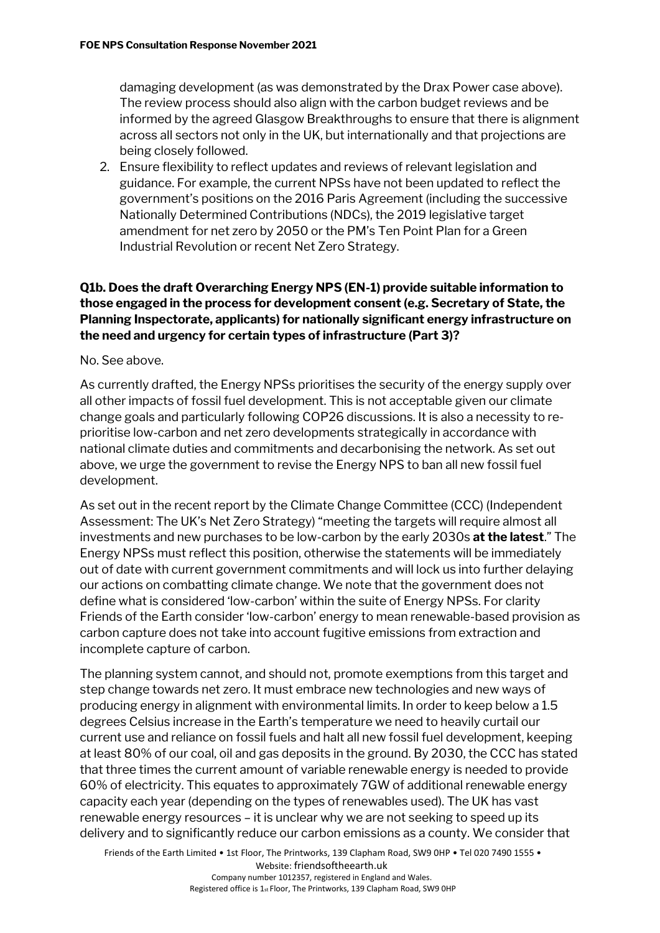damaging development (as was demonstrated by the Drax Power case above). The review process should also align with the carbon budget reviews and be informed by the agreed Glasgow Breakthroughs to ensure that there is alignment across all sectors not only in the UK, but internationally and that projections are being closely followed.

2. Ensure flexibility to reflect updates and reviews of relevant legislation and guidance. For example, the current NPSs have not been updated to reflect the government's positions on the 2016 Paris Agreement (including the successive Nationally Determined Contributions (NDCs), the 2019 legislative target amendment for net zero by 2050 or the PM's Ten Point Plan for a Green Industrial Revolution or recent Net Zero Strategy.

#### **Q1b. Does the draft Overarching Energy NPS (EN-1) provide suitable information to those engaged in the process for development consent (e.g. Secretary of State, the Planning Inspectorate, applicants) for nationally significant energy infrastructure on the need and urgency for certain types of infrastructure (Part 3)?**

No. See above.

As currently drafted, the Energy NPSs prioritises the security of the energy supply over all other impacts of fossil fuel development. This is not acceptable given our climate change goals and particularly following COP26 discussions. It is also a necessity to reprioritise low-carbon and net zero developments strategically in accordance with national climate duties and commitments and decarbonising the network. As set out above, we urge the government to revise the Energy NPS to ban all new fossil fuel development.

As set out in the recent report by the Climate Change Committee (CCC) (Independent Assessment: The UK's Net Zero Strategy) "meeting the targets will require almost all investments and new purchases to be low-carbon by the early 2030s **at the latest**." The Energy NPSs must reflect this position, otherwise the statements will be immediately out of date with current government commitments and will lock us into further delaying our actions on combatting climate change. We note that the government does not define what is considered 'low-carbon' within the suite of Energy NPSs. For clarity Friends of the Earth consider 'low-carbon' energy to mean renewable-based provision as carbon capture does not take into account fugitive emissions from extraction and incomplete capture of carbon.

The planning system cannot, and should not, promote exemptions from this target and step change towards net zero. It must embrace new technologies and new ways of producing energy in alignment with environmental limits. In order to keep below a 1.5 degrees Celsius increase in the Earth's temperature we need to heavily curtail our current use and reliance on fossil fuels and halt all new fossil fuel development, keeping at least 80% of our coal, oil and gas deposits in the ground. By 2030, the CCC has stated that three times the current amount of variable renewable energy is needed to provide 60% of electricity. This equates to approximately 7GW of additional renewable energy capacity each year (depending on the types of renewables used). The UK has vast renewable energy resources – it is unclear why we are not seeking to speed up its delivery and to significantly reduce our carbon emissions as a county. We consider that

Friends of the Earth Limited • 1st Floor, The Printworks, 139 Clapham Road, SW9 0HP • Tel 020 7490 1555 • Website: friendsoftheearth.uk Company number 1012357, registered in England and Wales.

Registered office is 1st Floor, The Printworks, 139 Clapham Road, SW9 0HP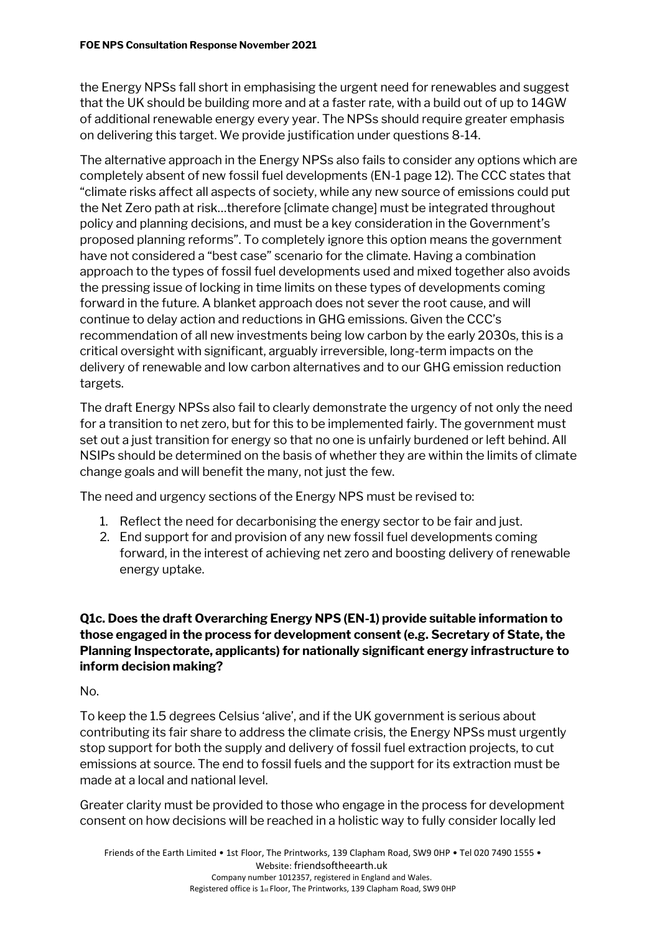the Energy NPSs fall short in emphasising the urgent need for renewables and suggest that the UK should be building more and at a faster rate, with a build out of up to 14GW of additional renewable energy every year. The NPSs should require greater emphasis on delivering this target. We provide justification under questions 8-14.

The alternative approach in the Energy NPSs also fails to consider any options which are completely absent of new fossil fuel developments (EN-1 page 12). The CCC states that "climate risks affect all aspects of society, while any new source of emissions could put the Net Zero path at risk…therefore [climate change] must be integrated throughout policy and planning decisions, and must be a key consideration in the Government's proposed planning reforms". To completely ignore this option means the government have not considered a "best case" scenario for the climate. Having a combination approach to the types of fossil fuel developments used and mixed together also avoids the pressing issue of locking in time limits on these types of developments coming forward in the future. A blanket approach does not sever the root cause, and will continue to delay action and reductions in GHG emissions. Given the CCC's recommendation of all new investments being low carbon by the early 2030s, this is a critical oversight with significant, arguably irreversible, long-term impacts on the delivery of renewable and low carbon alternatives and to our GHG emission reduction targets.

The draft Energy NPSs also fail to clearly demonstrate the urgency of not only the need for a transition to net zero, but for this to be implemented fairly. The government must set out a just transition for energy so that no one is unfairly burdened or left behind. All NSIPs should be determined on the basis of whether they are within the limits of climate change goals and will benefit the many, not just the few.

The need and urgency sections of the Energy NPS must be revised to:

- 1. Reflect the need for decarbonising the energy sector to be fair and just.
- 2. End support for and provision of any new fossil fuel developments coming forward, in the interest of achieving net zero and boosting delivery of renewable energy uptake.

#### **Q1c. Does the draft Overarching Energy NPS (EN-1) provide suitable information to those engaged in the process for development consent (e.g. Secretary of State, the Planning Inspectorate, applicants) for nationally significant energy infrastructure to inform decision making?**

No.

To keep the 1.5 degrees Celsius 'alive', and if the UK government is serious about contributing its fair share to address the climate crisis, the Energy NPSs must urgently stop support for both the supply and delivery of fossil fuel extraction projects, to cut emissions at source. The end to fossil fuels and the support for its extraction must be made at a local and national level.

Greater clarity must be provided to those who engage in the process for development consent on how decisions will be reached in a holistic way to fully consider locally led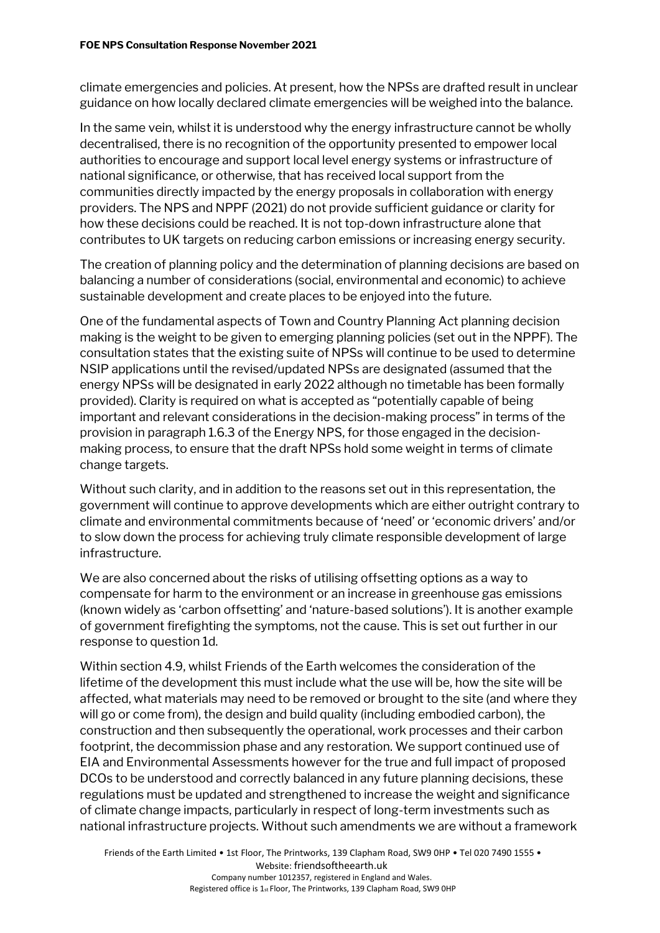climate emergencies and policies. At present, how the NPSs are drafted result in unclear guidance on how locally declared climate emergencies will be weighed into the balance.

In the same vein, whilst it is understood why the energy infrastructure cannot be wholly decentralised, there is no recognition of the opportunity presented to empower local authorities to encourage and support local level energy systems or infrastructure of national significance, or otherwise, that has received local support from the communities directly impacted by the energy proposals in collaboration with energy providers. The NPS and NPPF (2021) do not provide sufficient guidance or clarity for how these decisions could be reached. It is not top-down infrastructure alone that contributes to UK targets on reducing carbon emissions or increasing energy security.

The creation of planning policy and the determination of planning decisions are based on balancing a number of considerations (social, environmental and economic) to achieve sustainable development and create places to be enjoyed into the future.

One of the fundamental aspects of Town and Country Planning Act planning decision making is the weight to be given to emerging planning policies (set out in the NPPF). The consultation states that the existing suite of NPSs will continue to be used to determine NSIP applications until the revised/updated NPSs are designated (assumed that the energy NPSs will be designated in early 2022 although no timetable has been formally provided). Clarity is required on what is accepted as "potentially capable of being important and relevant considerations in the decision-making process" in terms of the provision in paragraph 1.6.3 of the Energy NPS, for those engaged in the decisionmaking process, to ensure that the draft NPSs hold some weight in terms of climate change targets.

Without such clarity, and in addition to the reasons set out in this representation, the government will continue to approve developments which are either outright contrary to climate and environmental commitments because of 'need' or 'economic drivers' and/or to slow down the process for achieving truly climate responsible development of large infrastructure.

We are also concerned about the risks of utilising offsetting options as a way to compensate for harm to the environment or an increase in greenhouse gas emissions (known widely as 'carbon offsetting' and 'nature-based solutions'). It is another example of government firefighting the symptoms, not the cause. This is set out further in our response to question 1d.

Within section 4.9, whilst Friends of the Earth welcomes the consideration of the lifetime of the development this must include what the use will be, how the site will be affected, what materials may need to be removed or brought to the site (and where they will go or come from), the design and build quality (including embodied carbon), the construction and then subsequently the operational, work processes and their carbon footprint, the decommission phase and any restoration. We support continued use of EIA and Environmental Assessments however for the true and full impact of proposed DCOs to be understood and correctly balanced in any future planning decisions, these regulations must be updated and strengthened to increase the weight and significance of climate change impacts, particularly in respect of long-term investments such as national infrastructure projects. Without such amendments we are without a framework

Friends of the Earth Limited • 1st Floor, The Printworks, 139 Clapham Road, SW9 0HP • Tel 020 7490 1555 • Website: friendsoftheearth.uk Company number 1012357, registered in England and Wales. Registered office is 1st Floor, The Printworks, 139 Clapham Road, SW9 0HP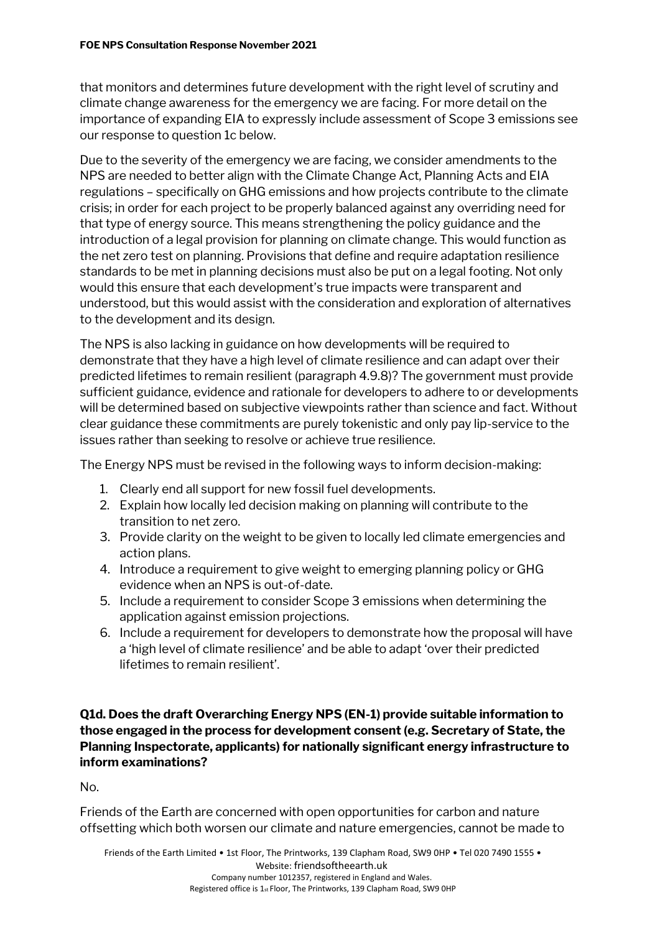that monitors and determines future development with the right level of scrutiny and climate change awareness for the emergency we are facing. For more detail on the importance of expanding EIA to expressly include assessment of Scope 3 emissions see our response to question 1c below.

Due to the severity of the emergency we are facing, we consider amendments to the NPS are needed to better align with the Climate Change Act, Planning Acts and EIA regulations – specifically on GHG emissions and how projects contribute to the climate crisis; in order for each project to be properly balanced against any overriding need for that type of energy source. This means strengthening the policy guidance and the introduction of a legal provision for planning on climate change. This would function as the net zero test on planning. Provisions that define and require adaptation resilience standards to be met in planning decisions must also be put on a legal footing. Not only would this ensure that each development's true impacts were transparent and understood, but this would assist with the consideration and exploration of alternatives to the development and its design.

The NPS is also lacking in guidance on how developments will be required to demonstrate that they have a high level of climate resilience and can adapt over their predicted lifetimes to remain resilient (paragraph 4.9.8)? The government must provide sufficient guidance, evidence and rationale for developers to adhere to or developments will be determined based on subjective viewpoints rather than science and fact. Without clear guidance these commitments are purely tokenistic and only pay lip-service to the issues rather than seeking to resolve or achieve true resilience.

The Energy NPS must be revised in the following ways to inform decision-making:

- 1. Clearly end all support for new fossil fuel developments.
- 2. Explain how locally led decision making on planning will contribute to the transition to net zero.
- 3. Provide clarity on the weight to be given to locally led climate emergencies and action plans.
- 4. Introduce a requirement to give weight to emerging planning policy or GHG evidence when an NPS is out-of-date.
- 5. Include a requirement to consider Scope 3 emissions when determining the application against emission projections.
- 6. Include a requirement for developers to demonstrate how the proposal will have a 'high level of climate resilience' and be able to adapt 'over their predicted lifetimes to remain resilient'.

**Q1d. Does the draft Overarching Energy NPS (EN-1) provide suitable information to those engaged in the process for development consent (e.g. Secretary of State, the Planning Inspectorate, applicants) for nationally significant energy infrastructure to inform examinations?**

No.

Friends of the Earth are concerned with open opportunities for carbon and nature offsetting which both worsen our climate and nature emergencies, cannot be made to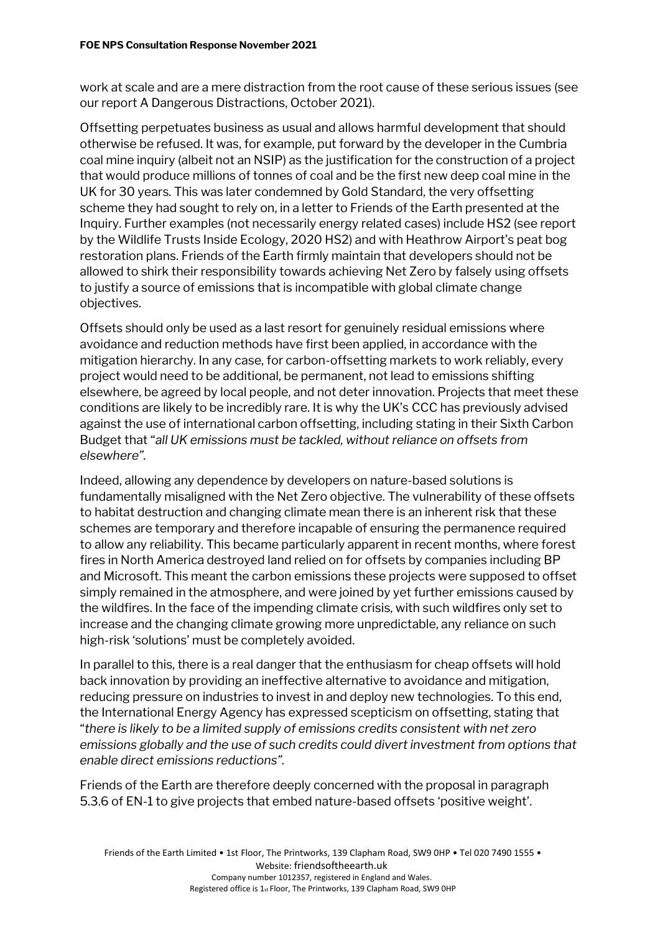work at scale and are a mere distraction from the root cause of these serious issues (see our report A Dangerous Distractions, October 2021).

Offsetting perpetuates business as usual and allows harmful development that should otherwise be refused. It was, for example, put forward by the developer in the Cumbria coal mine inquiry (albeit not an NSIP) as the justification for the construction of a project that would produce millions of tonnes of coal and be the first new deep coal mine in the UK for 30 years. This was later condemned by Gold Standard, the very offsetting scheme they had sought to rely on, in a letter to Friends of the Earth presented at the Inquiry. Further examples (not necessarily energy related cases) include HS2 (see report by the Wildlife Trusts Inside Ecology, 2020 HS2) and with Heathrow Airport's peat bog restoration plans. Friends of the Earth firmly maintain that developers should not be allowed to shirk their responsibility towards achieving Net Zero by falsely using offsets to justify a source of emissions that is incompatible with global climate change objectives.

Offsets should only be used as a last resort for genuinely residual emissions where avoidance and reduction methods have first been applied, in accordance with the mitigation hierarchy. In any case, for carbon-offsetting markets to work reliably, every project would need to be additional, be permanent, not lead to emissions shifting elsewhere, be agreed by local people, and not deter innovation. Projects that meet these conditions are likely to be incredibly rare. It is why the UK's CCC has previously advised against the use of international carbon offsetting, including stating in their Sixth Carbon Budget that "*all UK emissions must be tackled, without reliance on offsets from elsewhere".*

Indeed, allowing any dependence by developers on nature-based solutions is fundamentally misaligned with the Net Zero objective. The vulnerability of these offsets to habitat destruction and changing climate mean there is an inherent risk that these schemes are temporary and therefore incapable of ensuring the permanence required to allow any reliability. This became particularly apparent in recent months, where forest fires in North America destroyed land relied on for offsets by companies including BP and Microsoft. This meant the carbon emissions these projects were supposed to offset simply remained in the atmosphere, and were joined by yet further emissions caused by the wildfires. In the face of the impending climate crisis, with such wildfires only set to increase and the changing climate growing more unpredictable, any reliance on such high-risk 'solutions' must be completely avoided.

In parallel to this, there is a real danger that the enthusiasm for cheap offsets will hold back innovation by providing an ineffective alternative to avoidance and mitigation, reducing pressure on industries to invest in and deploy new technologies. To this end, the International Energy Agency has expressed scepticism on offsetting, stating that "*there is likely to be a limited supply of emissions credits consistent with net zero emissions globally and the use of such credits could divert investment from options that enable direct emissions reductions".*

Friends of the Earth are therefore deeply concerned with the proposal in paragraph 5.3.6 of EN-1 to give projects that embed nature-based offsets 'positive weight'.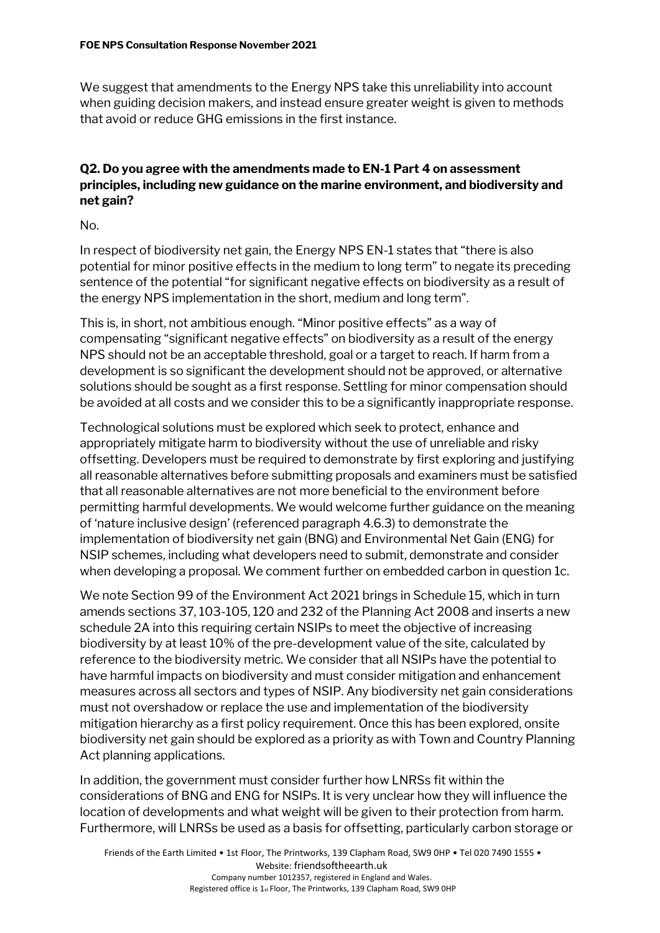We suggest that amendments to the Energy NPS take this unreliability into account when guiding decision makers, and instead ensure greater weight is given to methods that avoid or reduce GHG emissions in the first instance.

#### **Q2. Do you agree with the amendments made to EN-1 Part 4 on assessment principles, including new guidance on the marine environment, and biodiversity and net gain?**

No.

In respect of biodiversity net gain, the Energy NPS EN-1 states that "there is also potential for minor positive effects in the medium to long term" to negate its preceding sentence of the potential "for significant negative effects on biodiversity as a result of the energy NPS implementation in the short, medium and long term".

This is, in short, not ambitious enough. "Minor positive effects" as a way of compensating "significant negative effects" on biodiversity as a result of the energy NPS should not be an acceptable threshold, goal or a target to reach. If harm from a development is so significant the development should not be approved, or alternative solutions should be sought as a first response. Settling for minor compensation should be avoided at all costs and we consider this to be a significantly inappropriate response.

Technological solutions must be explored which seek to protect, enhance and appropriately mitigate harm to biodiversity without the use of unreliable and risky offsetting. Developers must be required to demonstrate by first exploring and justifying all reasonable alternatives before submitting proposals and examiners must be satisfied that all reasonable alternatives are not more beneficial to the environment before permitting harmful developments. We would welcome further guidance on the meaning of 'nature inclusive design' (referenced paragraph 4.6.3) to demonstrate the implementation of biodiversity net gain (BNG) and Environmental Net Gain (ENG) for NSIP schemes, including what developers need to submit, demonstrate and consider when developing a proposal. We comment further on embedded carbon in question 1c.

We note Section 99 of the Environment Act 2021 brings in Schedule 15, which in turn amends sections 37, 103-105, 120 and 232 of the Planning Act 2008 and inserts a new schedule 2A into this requiring certain NSIPs to meet the objective of increasing biodiversity by at least 10% of the pre-development value of the site, calculated by reference to the biodiversity metric. We consider that all NSIPs have the potential to have harmful impacts on biodiversity and must consider mitigation and enhancement measures across all sectors and types of NSIP. Any biodiversity net gain considerations must not overshadow or replace the use and implementation of the biodiversity mitigation hierarchy as a first policy requirement. Once this has been explored, onsite biodiversity net gain should be explored as a priority as with Town and Country Planning Act planning applications.

In addition, the government must consider further how LNRSs fit within the considerations of BNG and ENG for NSIPs. It is very unclear how they will influence the location of developments and what weight will be given to their protection from harm. Furthermore, will LNRSs be used as a basis for offsetting, particularly carbon storage or

Friends of the Earth Limited • 1st Floor, The Printworks, 139 Clapham Road, SW9 0HP • Tel 020 7490 1555 • Website: friendsoftheearth.uk Company number 1012357, registered in England and Wales. Registered office is 1st Floor, The Printworks, 139 Clapham Road, SW9 0HP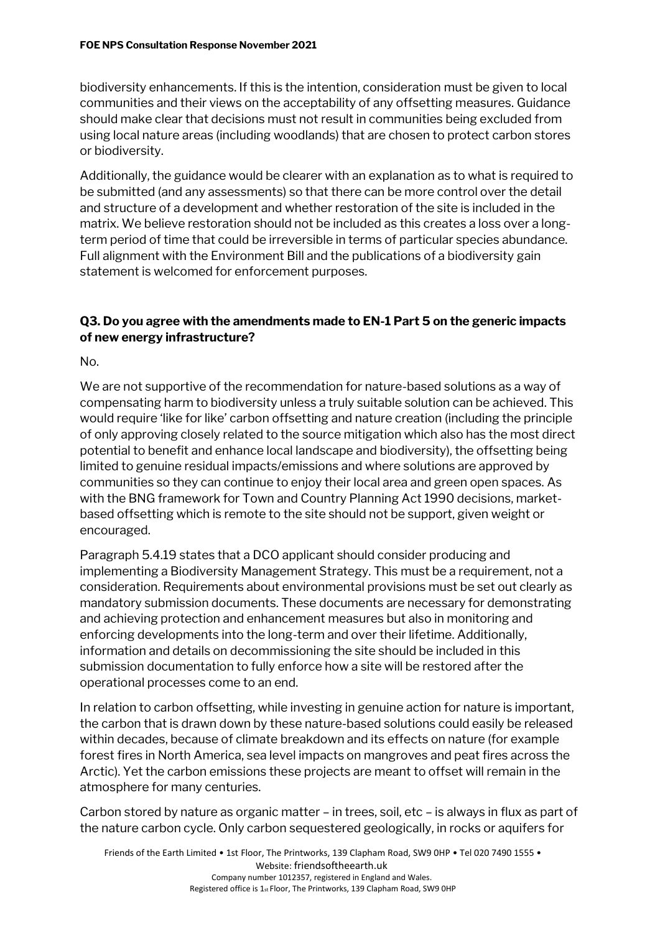biodiversity enhancements. If this is the intention, consideration must be given to local communities and their views on the acceptability of any offsetting measures. Guidance should make clear that decisions must not result in communities being excluded from using local nature areas (including woodlands) that are chosen to protect carbon stores or biodiversity.

Additionally, the guidance would be clearer with an explanation as to what is required to be submitted (and any assessments) so that there can be more control over the detail and structure of a development and whether restoration of the site is included in the matrix. We believe restoration should not be included as this creates a loss over a longterm period of time that could be irreversible in terms of particular species abundance. Full alignment with the Environment Bill and the publications of a biodiversity gain statement is welcomed for enforcement purposes.

#### **Q3. Do you agree with the amendments made to EN-1 Part 5 on the generic impacts of new energy infrastructure?**

No.

We are not supportive of the recommendation for nature-based solutions as a way of compensating harm to biodiversity unless a truly suitable solution can be achieved. This would require 'like for like' carbon offsetting and nature creation (including the principle of only approving closely related to the source mitigation which also has the most direct potential to benefit and enhance local landscape and biodiversity), the offsetting being limited to genuine residual impacts/emissions and where solutions are approved by communities so they can continue to enjoy their local area and green open spaces. As with the BNG framework for Town and Country Planning Act 1990 decisions, marketbased offsetting which is remote to the site should not be support, given weight or encouraged.

Paragraph 5.4.19 states that a DCO applicant should consider producing and implementing a Biodiversity Management Strategy. This must be a requirement, not a consideration. Requirements about environmental provisions must be set out clearly as mandatory submission documents. These documents are necessary for demonstrating and achieving protection and enhancement measures but also in monitoring and enforcing developments into the long-term and over their lifetime. Additionally, information and details on decommissioning the site should be included in this submission documentation to fully enforce how a site will be restored after the operational processes come to an end.

In relation to carbon offsetting, while investing in genuine action for nature is important, the carbon that is drawn down by these nature-based solutions could easily be released within decades, because of climate breakdown and its effects on nature (for example forest fires in North America, sea level impacts on mangroves and peat fires across the Arctic). Yet the carbon emissions these projects are meant to offset will remain in the atmosphere for many centuries.

Carbon stored by nature as organic matter – in trees, soil, etc – is always in flux as part of the nature carbon cycle. Only carbon sequestered geologically, in rocks or aquifers for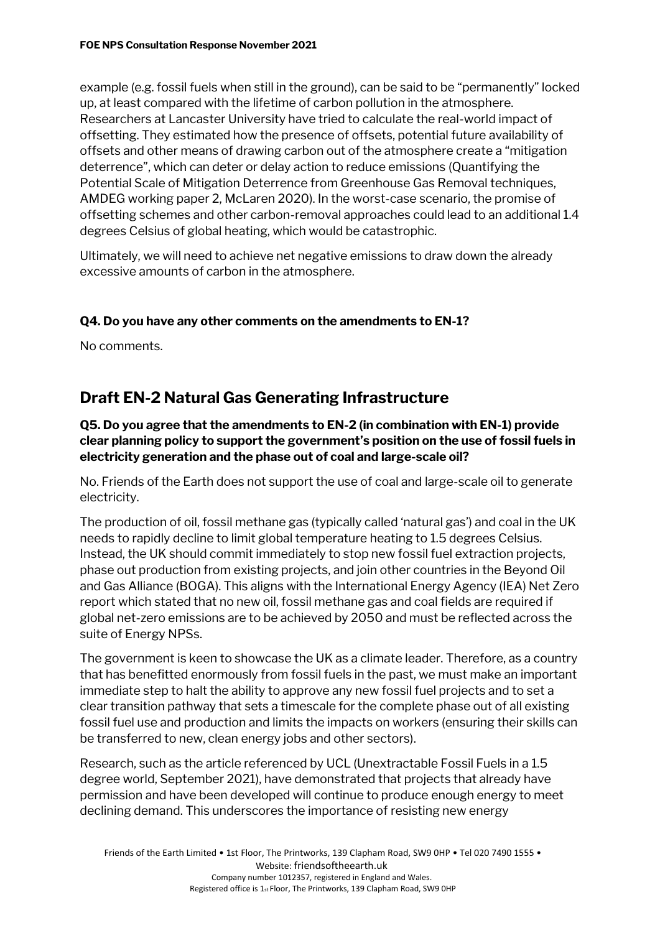example (e.g. fossil fuels when still in the ground), can be said to be "permanently" locked up, at least compared with the lifetime of carbon pollution in the atmosphere. Researchers at Lancaster University have tried to calculate the real-world impact of offsetting. They estimated how the presence of offsets, potential future availability of offsets and other means of drawing carbon out of the atmosphere create a "mitigation deterrence", which can deter or delay action to reduce emissions (Quantifying the Potential Scale of Mitigation Deterrence from Greenhouse Gas Removal techniques, AMDEG working paper 2, McLaren 2020). In the worst-case scenario, the promise of offsetting schemes and other carbon-removal approaches could lead to an additional 1.4 degrees Celsius of global heating, which would be catastrophic.

Ultimately, we will need to achieve net negative emissions to draw down the already excessive amounts of carbon in the atmosphere.

#### **Q4. Do you have any other comments on the amendments to EN-1?**

No comments.

### **Draft EN-2 Natural Gas Generating Infrastructure**

#### **Q5. Do you agree that the amendments to EN-2 (in combination with EN-1) provide clear planning policy to support the government's position on the use of fossil fuels in electricity generation and the phase out of coal and large-scale oil?**

No. Friends of the Earth does not support the use of coal and large-scale oil to generate electricity.

The production of oil, fossil methane gas (typically called 'natural gas') and coal in the UK needs to rapidly decline to limit global temperature heating to 1.5 degrees Celsius. Instead, the UK should commit immediately to stop new fossil fuel extraction projects, phase out production from existing projects, and join other countries in the Beyond Oil and Gas Alliance (BOGA). This aligns with the International Energy Agency (IEA) Net Zero report which stated that no new oil, fossil methane gas and coal fields are required if global net-zero emissions are to be achieved by 2050 and must be reflected across the suite of Energy NPSs.

The government is keen to showcase the UK as a climate leader. Therefore, as a country that has benefitted enormously from fossil fuels in the past, we must make an important immediate step to halt the ability to approve any new fossil fuel projects and to set a clear transition pathway that sets a timescale for the complete phase out of all existing fossil fuel use and production and limits the impacts on workers (ensuring their skills can be transferred to new, clean energy jobs and other sectors).

Research, such as the article referenced by UCL (Unextractable Fossil Fuels in a 1.5 degree world, September 2021), have demonstrated that projects that already have permission and have been developed will continue to produce enough energy to meet declining demand. This underscores the importance of resisting new energy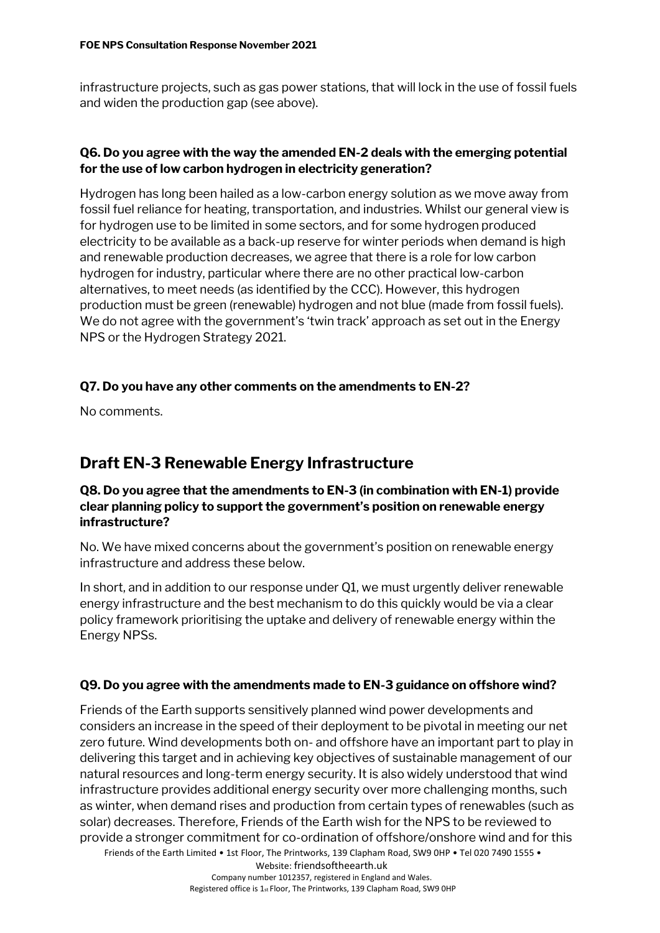infrastructure projects, such as gas power stations, that will lock in the use of fossil fuels and widen the production gap (see above).

#### **Q6. Do you agree with the way the amended EN-2 deals with the emerging potential for the use of low carbon hydrogen in electricity generation?**

Hydrogen has long been hailed as a low-carbon energy solution as we move away from fossil fuel reliance for heating, transportation, and industries. Whilst our general view is for hydrogen use to be limited in some sectors, and for some hydrogen produced electricity to be available as a back-up reserve for winter periods when demand is high and renewable production decreases, we agree that there is a role for low carbon hydrogen for industry, particular where there are no other practical low-carbon alternatives, to meet needs (as identified by the CCC). However, this hydrogen production must be green (renewable) hydrogen and not blue (made from fossil fuels). We do not agree with the government's 'twin track' approach as set out in the Energy NPS or the Hydrogen Strategy 2021.

#### **Q7. Do you have any other comments on the amendments to EN-2?**

No comments.

### **Draft EN-3 Renewable Energy Infrastructure**

#### **Q8. Do you agree that the amendments to EN-3 (in combination with EN-1) provide clear planning policy to support the government's position on renewable energy infrastructure?**

No. We have mixed concerns about the government's position on renewable energy infrastructure and address these below.

In short, and in addition to our response under  $Q1$ , we must urgently deliver renewable energy infrastructure and the best mechanism to do this quickly would be via a clear policy framework prioritising the uptake and delivery of renewable energy within the Energy NPSs.

#### **Q9. Do you agree with the amendments made to EN-3 guidance on offshore wind?**

Friends of the Earth Limited • 1st Floor, The Printworks, 139 Clapham Road, SW9 0HP • Tel 020 7490 1555 • Friends of the Earth supports sensitively planned wind power developments and considers an increase in the speed of their deployment to be pivotal in meeting our net zero future. Wind developments both on- and offshore have an important part to play in delivering this target and in achieving key objectives of sustainable management of our natural resources and long-term energy security. It is also widely understood that wind infrastructure provides additional energy security over more challenging months, such as winter, when demand rises and production from certain types of renewables (such as solar) decreases. Therefore, Friends of the Earth wish for the NPS to be reviewed to provide a stronger commitment for co-ordination of offshore/onshore wind and for this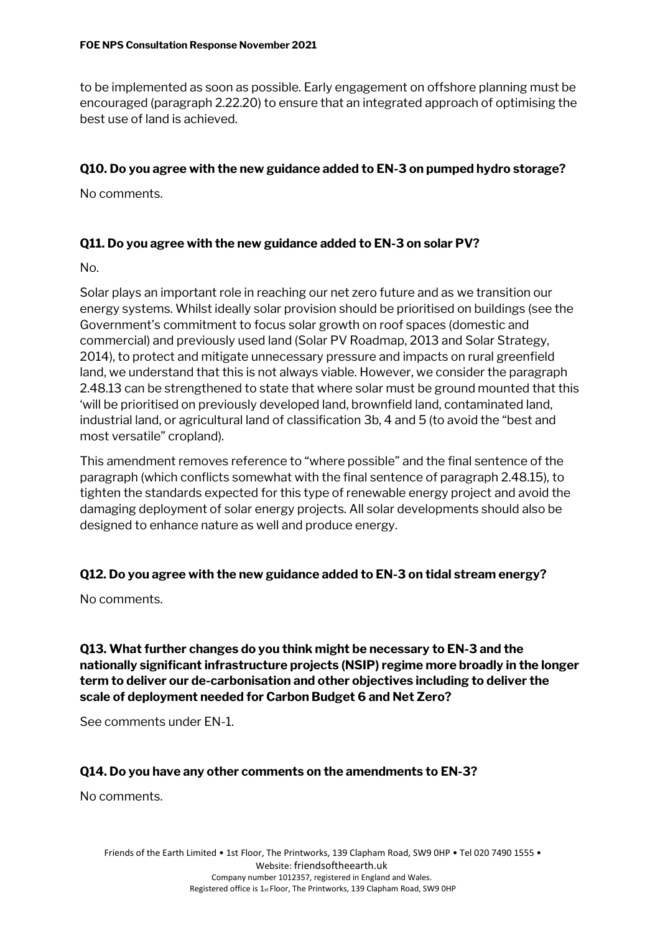to be implemented as soon as possible. Early engagement on offshore planning must be encouraged (paragraph 2.22.20) to ensure that an integrated approach of optimising the best use of land is achieved.

#### **Q10. Do you agree with the new guidance added to EN-3 on pumped hydro storage?**

No comments.

#### **Q11. Do you agree with the new guidance added to EN-3 on solar PV?**

No.

Solar plays an important role in reaching our net zero future and as we transition our energy systems. Whilst ideally solar provision should be prioritised on buildings (see the Government's commitment to focus solar growth on roof spaces (domestic and commercial) and previously used land (Solar PV Roadmap, 2013 and Solar Strategy, 2014), to protect and mitigate unnecessary pressure and impacts on rural greenfield land, we understand that this is not always viable. However, we consider the paragraph 2.48.13 can be strengthened to state that where solar must be ground mounted that this 'will be prioritised on previously developed land, brownfield land, contaminated land, industrial land, or agricultural land of classification 3b, 4 and 5 (to avoid the "best and most versatile" cropland).

This amendment removes reference to "where possible" and the final sentence of the paragraph (which conflicts somewhat with the final sentence of paragraph 2.48.15), to tighten the standards expected for this type of renewable energy project and avoid the damaging deployment of solar energy projects. All solar developments should also be designed to enhance nature as well and produce energy.

#### **Q12. Do you agree with the new guidance added to EN-3 on tidal stream energy?**

No comments.

**Q13. What further changes do you think might be necessary to EN-3 and the nationally significant infrastructure projects (NSIP) regime more broadly in the longer term to deliver our de-carbonisation and other objectives including to deliver the scale of deployment needed for Carbon Budget 6 and Net Zero?**

See comments under EN-1.

#### **Q14. Do you have any other comments on the amendments to EN-3?**

No comments.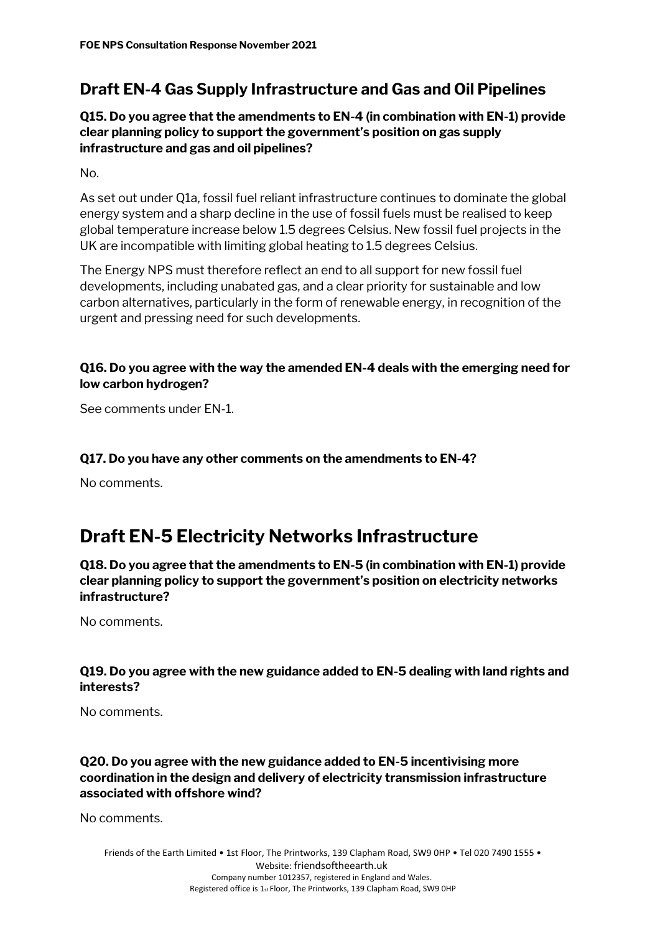### **Draft EN-4 Gas Supply Infrastructure and Gas and Oil Pipelines**

**Q15. Do you agree that the amendments to EN-4 (in combination with EN-1) provide clear planning policy to support the government's position on gas supply infrastructure and gas and oil pipelines?**

No.

As set out under Q1a, fossil fuel reliant infrastructure continues to dominate the global energy system and a sharp decline in the use of fossil fuels must be realised to keep global temperature increase below 1.5 degrees Celsius. New fossil fuel projects in the UK are incompatible with limiting global heating to 1.5 degrees Celsius.

The Energy NPS must therefore reflect an end to all support for new fossil fuel developments, including unabated gas, and a clear priority for sustainable and low carbon alternatives, particularly in the form of renewable energy, in recognition of the urgent and pressing need for such developments.

#### **Q16. Do you agree with the way the amended EN-4 deals with the emerging need for low carbon hydrogen?**

See comments under EN-1.

#### **Q17. Do you have any other comments on the amendments to EN-4?**

No comments.

# **Draft EN-5 Electricity Networks Infrastructure**

**Q18. Do you agree that the amendments to EN-5 (in combination with EN-1) provide clear planning policy to support the government's position on electricity networks infrastructure?**

No comments.

#### **Q19. Do you agree with the new guidance added to EN-5 dealing with land rights and interests?**

No comments.

#### **Q20. Do you agree with the new guidance added to EN-5 incentivising more coordination in the design and delivery of electricity transmission infrastructure associated with offshore wind?**

No comments.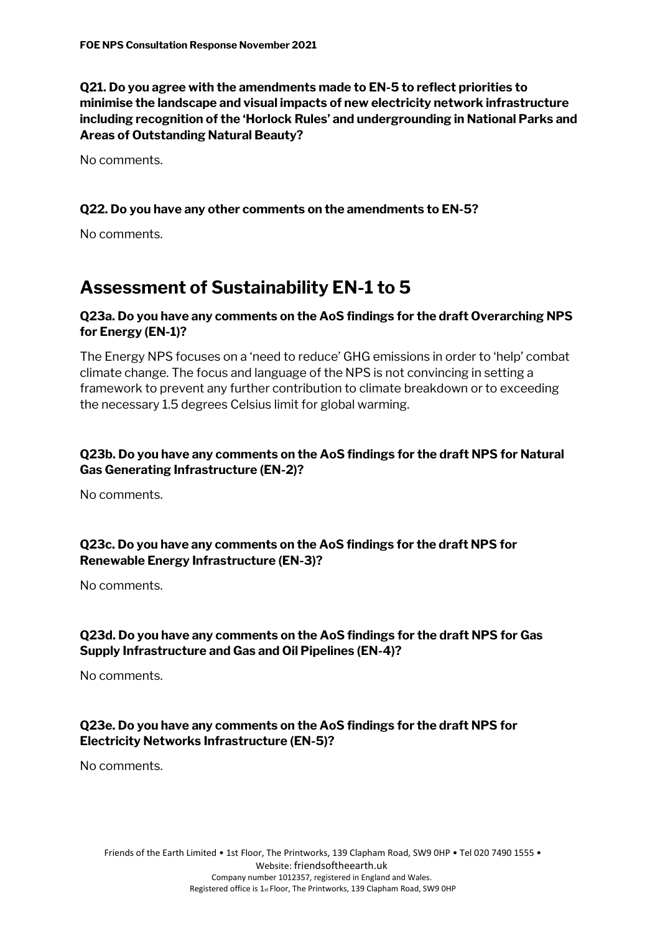**Q21. Do you agree with the amendments made to EN-5 to reflect priorities to minimise the landscape and visual impacts of new electricity network infrastructure including recognition of the 'Horlock Rules' and undergrounding in National Parks and Areas of Outstanding Natural Beauty?**

No comments.

#### **Q22. Do you have any other comments on the amendments to EN-5?**

No comments.

# **Assessment of Sustainability EN-1 to 5**

#### **Q23a. Do you have any comments on the AoS findings for the draft Overarching NPS for Energy (EN-1)?**

The Energy NPS focuses on a 'need to reduce' GHG emissions in order to 'help' combat climate change. The focus and language of the NPS is not convincing in setting a framework to prevent any further contribution to climate breakdown or to exceeding the necessary 1.5 degrees Celsius limit for global warming.

#### **Q23b. Do you have any comments on the AoS findings for the draft NPS for Natural Gas Generating Infrastructure (EN-2)?**

No comments.

#### **Q23c. Do you have any comments on the AoS findings for the draft NPS for Renewable Energy Infrastructure (EN-3)?**

No comments.

#### **Q23d. Do you have any comments on the AoS findings for the draft NPS for Gas Supply Infrastructure and Gas and Oil Pipelines (EN-4)?**

No comments.

#### **Q23e. Do you have any comments on the AoS findings for the draft NPS for Electricity Networks Infrastructure (EN-5)?**

No comments.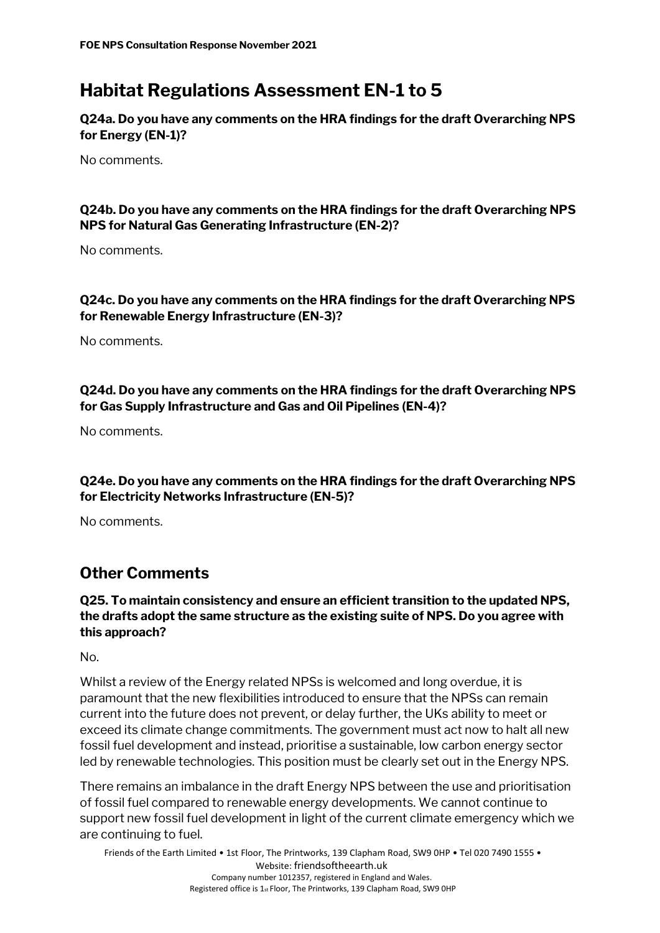# **Habitat Regulations Assessment EN-1 to 5**

**Q24a. Do you have any comments on the HRA findings for the draft Overarching NPS for Energy (EN-1)?**

No comments.

#### **Q24b. Do you have any comments on the HRA findings for the draft Overarching NPS NPS for Natural Gas Generating Infrastructure (EN-2)?**

No comments.

#### **Q24c. Do you have any comments on the HRA findings for the draft Overarching NPS for Renewable Energy Infrastructure (EN-3)?**

No comments.

#### **Q24d. Do you have any comments on the HRA findings for the draft Overarching NPS for Gas Supply Infrastructure and Gas and Oil Pipelines (EN-4)?**

No comments.

#### **Q24e. Do you have any comments on the HRA findings for the draft Overarching NPS for Electricity Networks Infrastructure (EN-5)?**

No comments.

### **Other Comments**

#### **Q25. To maintain consistency and ensure an efficient transition to the updated NPS, the drafts adopt the same structure as the existing suite of NPS. Do you agree with this approach?**

No.

Whilst a review of the Energy related NPSs is welcomed and long overdue, it is paramount that the new flexibilities introduced to ensure that the NPSs can remain current into the future does not prevent, or delay further, the UKs ability to meet or exceed its climate change commitments. The government must act now to halt all new fossil fuel development and instead, prioritise a sustainable, low carbon energy sector led by renewable technologies. This position must be clearly set out in the Energy NPS.

There remains an imbalance in the draft Energy NPS between the use and prioritisation of fossil fuel compared to renewable energy developments. We cannot continue to support new fossil fuel development in light of the current climate emergency which we are continuing to fuel.

Friends of the Earth Limited • 1st Floor, The Printworks, 139 Clapham Road, SW9 0HP • Tel 020 7490 1555 • Website: friendsoftheearth.uk Company number 1012357, registered in England and Wales. Registered office is 1st Floor, The Printworks, 139 Clapham Road, SW9 0HP